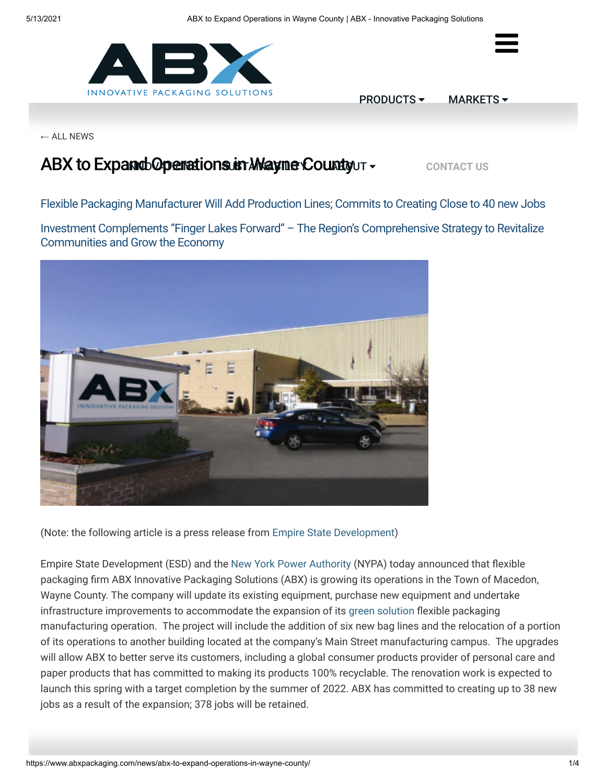



[PRODUCTS](https://www.abxpackaging.com/products/) [MARKETS](https://www.abxpackaging.com/markets/) -

 $\leftarrow$  [ALL NEWS](https://www.abxpackaging.com/news)

# **ABX to Expand Operations in Mayne Co[unty](https://www.abxpackaging.com/about/) UT + [CONTACT US](https://www.abxpackaging.com/contact/)**

Flexible Packaging Manufacturer Will Add Production Lines; Commits to Creating Close to 40 new Jobs

Investment Complements "Finger Lakes Forward" – The Region's Comprehensive Strategy to Revitalize Communities and Grow the Economy



(Note: the following article is a press release from [Empire State Development\)](https://esd.ny.gov/)

Empire State Development (ESD) and the [New York Power Authority](https://www.nypa.gov/) (NYPA) today announced that flexible packaging firm ABX Innovative Packaging Solutions (ABX) is growing its operations in the Town of Macedon, Wayne County. The company will update its existing equipment, purchase new equipment and undertake infrastructure improvements to accommodate the expansion of its [green solution](https://www.abxpackaging.com/sustainability/) flexible packaging manufacturing operation. The project will include the addition of six new bag lines and the relocation of a portion of its operations to another building located at the company's Main Street manufacturing campus. The upgrades will allow ABX to better serve its customers, including a global consumer products provider of personal care and paper products that has committed to making its products 100% recyclable. The renovation work is expected to launch this spring with a target completion by the summer of 2022. ABX has committed to creating up to 38 new jobs as a result of the expansion; 378 jobs will be retained.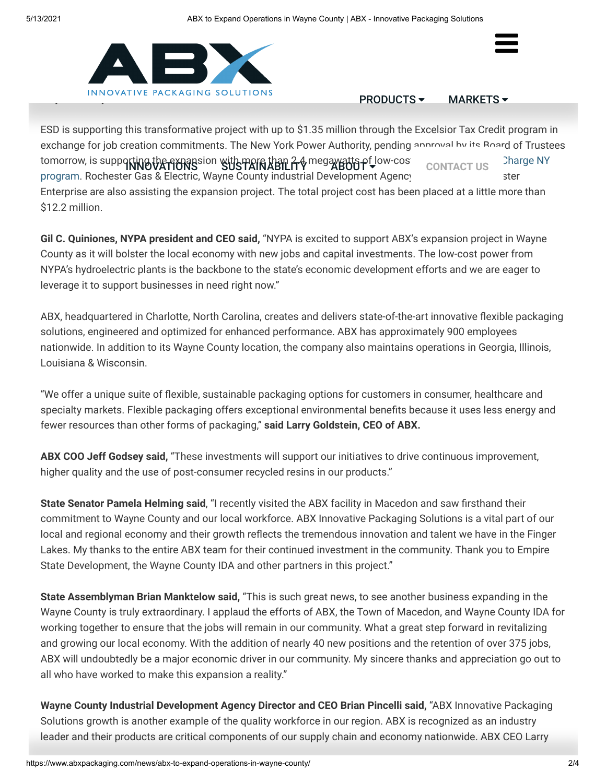

$$
PRODUCTS \blacktriangleright \qquad \text{MARKETS} \blacktriangleright
$$

 $\equiv$ 

ESD is supporting this transformative project with up to \$1.35 million through the Excelsior Tax Credit program in exchange for jo[b creation commitme](https://www.abxpackaging.com/innovations/)[nts. The New York Pow](https://www.abxpackaging.com/sustainability/)[er Authority, pen](https://www.abxpackaging.com/about/)ding approval by its Board of Trustees tomorrow, is supp**orting the expansion with more than 2.4** megawatts of Jow-cost power and the Recharge NY program. Rochester Gas & Electric, Wayne County industrial Development Agency and Greater Rochester Greater Ro Enterprise are also assisting the expansion project. The total project cost has been placed at a little more than \$12.2 million.

**Gil C. Quiniones, NYPA president and CEO said,** "NYPA is excited to support ABX's expansion project in Wayne County as it will bolster the local economy with new jobs and capital investments. The low-cost power from NYPA's hydroelectric plants is the backbone to the state's economic development efforts and we are eager to leverage it to support businesses in need right now."

ABX, headquartered in Charlotte, North Carolina, creates and delivers state-of-the-art innovative flexible packaging solutions, engineered and optimized for enhanced performance. ABX has approximately 900 employees nationwide. In addition to its Wayne County location, the company also maintains operations in Georgia, Illinois, Louisiana & Wisconsin.

"We offer a unique suite of flexible, sustainable packaging options for customers in consumer, healthcare and specialty markets. Flexible packaging offers exceptional environmental benefits because it uses less energy and fewer resources than other forms of packaging," **said Larry Goldstein, CEO of ABX.**

**ABX COO Jeff Godsey said,** "These investments will support our initiatives to drive continuous improvement, higher quality and the use of post-consumer recycled resins in our products."

**State Senator Pamela Helming said**, "I recently visited the ABX facility in Macedon and saw firsthand their commitment to Wayne County and our local workforce. ABX Innovative Packaging Solutions is a vital part of our local and regional economy and their growth reflects the tremendous innovation and talent we have in the Finger Lakes. My thanks to the entire ABX team for their continued investment in the community. Thank you to Empire State Development, the Wayne County IDA and other partners in this project."

**State Assemblyman Brian Manktelow said,** "This is such great news, to see another business expanding in the Wayne County is truly extraordinary. I applaud the efforts of ABX, the Town of Macedon, and Wayne County IDA for working together to ensure that the jobs will remain in our community. What a great step forward in revitalizing and growing our local economy. With the addition of nearly 40 new positions and the retention of over 375 jobs, ABX will undoubtedly be a major economic driver in our community. My sincere thanks and appreciation go out to all who have worked to make this expansion a reality."

**Wayne County Industrial Development Agency Director and CEO Brian Pincelli said,** "ABX Innovative Packaging Solutions growth is another example of the quality workforce in our region. ABX is recognized as an industry leader and their products are critical components of our supply chain and economy nationwide. ABX CEO Larry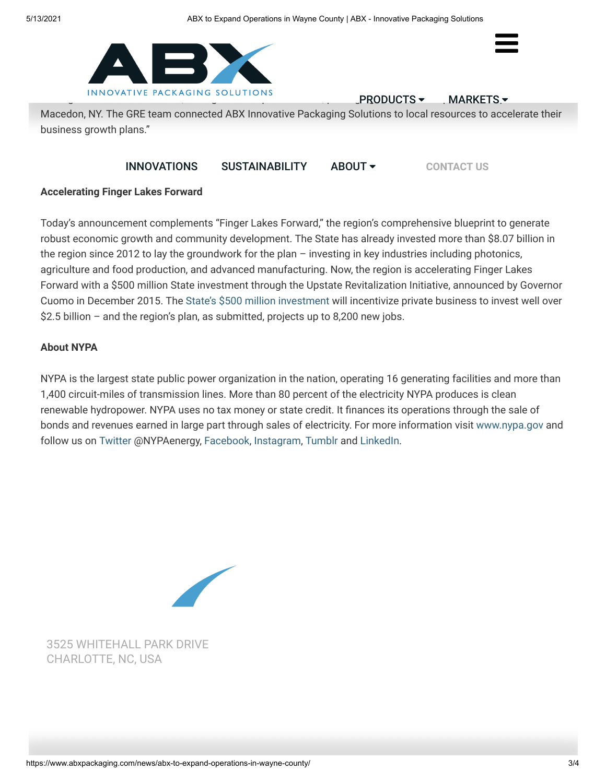

Leveral talentering solotions and talent, pac[kaging assets, and e](https://www.abxpackaging.com/products/)xpanding assets, and expanding  $\mathcal{P}$ RODUCTS  $\blacktriangledown$ 

 $\equiv$ 

Macedon, NY. The GRE team connected ABX Innovative Packaging Solutions to local resources to accelerate their business growth plans."

### **[INNOVATIONS](https://www.abxpackaging.com/innovations/) [SUSTAINABILITY](https://www.abxpackaging.com/sustainability/) [ABOUT](https://www.abxpackaging.com/about/) V** [CONTACT US](https://www.abxpackaging.com/contact/)

#### **Accelerating Finger Lakes Forward**

Today's announcement complements "Finger Lakes Forward," the region's comprehensive blueprint to generate robust economic growth and community development. The State has already invested more than \$8.07 billion in the region since 2012 to lay the groundwork for the plan – investing in key industries including photonics, agriculture and food production, and advanced manufacturing. Now, the region is accelerating Finger Lakes Forward with a \$500 million State investment through the Upstate Revitalization Initiative, announced by Governor Cuomo in December 2015. The [State's \\$500 million investment](https://esd.ny.gov/finger-lakes-forward-uri) will incentivize private business to invest well over \$2.5 billion – and the region's plan, as submitted, projects up to 8,200 new jobs.

#### **About NYPA**

NYPA is the largest state public power organization in the nation, operating 16 generating facilities and more than 1,400 circuit-miles of transmission lines. More than 80 percent of the electricity NYPA produces is clean renewable hydropower. NYPA uses no tax money or state credit. It finances its operations through the sale of bonds and revenues earned in large part through sales of electricity. For more information visit [www.nypa.gov](http://www.nypa.gov/) and follow us on [Twitter](https://twitter.com/NYPAenergy) @NYPAenergy, [Facebook](https://www.facebook.com/NYPAEnergy), [Instagram](http://instagram.com/#nypaenergy), [Tumblr](https://nypaenergy.tumblr.com/) and [LinkedIn](http://www.linkedin.com/company/new-york-power-authority).



[3525 WHITEHALL PARK DRIVE](https://www.google.com/maps/place/3525+Whitehall+Park+Drive+Charlotte+NC+USA/) CHARLOTTE, NC, USA